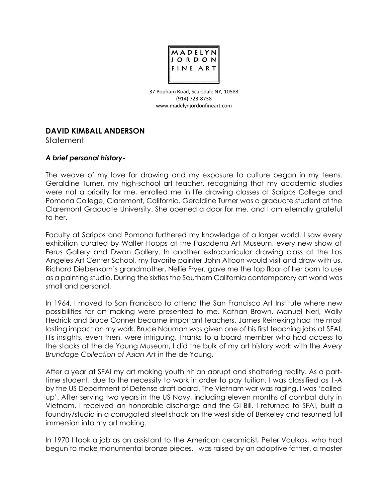

37 Popham Road, Scarsdale NY, 10583 (914) 723-8738 [www.madelynjordonfineart.com](http://www.madelynjordonfineart.com/)

## **DAVID KIMBALL ANDERSON**

**Statement** 

## *A brief personal history-*

The weave of my love for drawing and my exposure to culture began in my teens. Geraldine Turner, my high-school art teacher, recognizing that my academic studies were not a priority for me, enrolled me in life drawing classes at Scripps College and Pomona College, Claremont, California. Geraldine Turner was a graduate student at the Claremont Graduate University. She opened a door for me, and I am eternally grateful to her.

Faculty at Scripps and Pomona furthered my knowledge of a larger world. I saw every exhibition curated by Walter Hopps at the Pasadena Art Museum, every new show at Ferus Gallery and Dwan Gallery. In another extracurricular drawing class at the Los Angeles Art Center School, my favorite painter John Altoon would visit and draw with us. Richard Diebenkorn's grandmother, Nellie Fryer, gave me the top floor of her barn to use as a painting studio. During the sixties the Southern California contemporary art world was small and personal.

In 1964, I moved to San Francisco to attend the San Francisco Art Institute where new possibilities for art making were presented to me. Kathan Brown, Manuel Neri, Wally Hedrick and Bruce Conner became important teachers. James Reineking had the most lasting impact on my work. Bruce Nauman was given one of his first teaching jobs at SFAI, His insights, even then, were intriguing. Thanks to a board member who had access to the stacks at the de Young Museum, I did the bulk of my art history work with the *Avery Brundage Collection of Asian Art* in the de Young.

After a year at SFAI my art making youth hit an abrupt and shattering reality. As a parttime student, due to the necessity to work in order to pay tuition, I was classified as 1-A by the US Department of Defense draft board. The Vietnam war was raging. I was 'called up'. After serving two years in the US Navy, including eleven months of combat duty in Vietnam, I received an honorable discharge and the GI Bill. I returned to SFAI, built a foundry/studio in a corrugated steel shack on the west side of Berkeley and resumed full immersion into my art making.

In 1970 I took a job as an assistant to the American ceramicist, Peter Voulkos, who had begun to make monumental bronze pieces. I was raised by an adoptive father, a master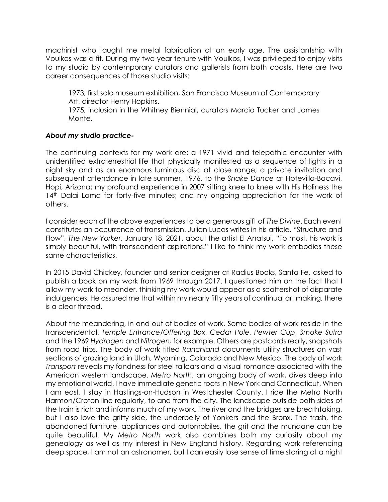machinist who taught me metal fabrication at an early age. The assistantship with Voulkos was a fit. During my two-year tenure with Voulkos, I was privileged to enjoy visits to my studio by contemporary curators and gallerists from both coasts. Here are two career consequences of those studio visits:

1973, first solo museum exhibition, San Francisco Museum of Contemporary Art, director Henry Hopkins.

1975, inclusion in the Whitney Biennial, curators Marcia Tucker and James Monte.

## *About my studio practice-*

The continuing contexts for my work are: a 1971 vivid and telepathic encounter with unidentified extraterrestrial life that physically manifested as a sequence of lights in a night sky and as an enormous luminous disc at close range; a private invitation and subsequent attendance in late summer, 1976, to the *Snake Dance* at Hotevilla-Bacavi, Hopi, Arizona; my profound experience in 2007 sitting knee to knee with His Holiness the 14<sup>th</sup> Dalai Lama for forty-five minutes; and my ongoing appreciation for the work of others.

I consider each of the above experiences to be a generous gift of *The Divine*. Each event constitutes an occurrence of transmission. Julian Lucas writes in his article, "Structure and Flow", *The New Yorker*, January 18, 2021, about the artist El Anatsui, "To most, his work is simply beautiful, with transcendent aspirations." I like to think my work embodies these same characteristics.

In 2015 David Chickey, founder and senior designer at Radius Books, Santa Fe, asked to publish a book on my work from 1969 through 2017. I questioned him on the fact that I allow my work to meander, thinking my work would appear as a scattershot of disparate indulgences. He assured me that within my nearly fifty years of continual art making, there is a clear thread.

About the meandering, in and out of bodies of work. Some bodies of work reside in the transcendental. *Temple Entrance/Offering Box*, *Cedar Pole*, *Pewter Cup*, *Smoke Sutra* and the 1969 *Hydrogen* and *Nitrogen,* for example. Others are postcards really, snapshots from road trips. The body of work titled *Ranchland* documents utility structures on vast sections of grazing land in Utah, Wyoming, Colorado and New Mexico. The body of work *Transport* reveals my fondness for steel railcars and a visual romance associated with the American western landscape. *Metro North*, an ongoing body of work, dives deep into my emotional world. I have immediate genetic roots in New York and Connecticut. When I am east, I stay in Hastings-on-Hudson in Westchester County. I ride the Metro North Harmon/Croton line regularly, to and from the city. The landscape outside both sides of the train is rich and informs much of my work. The river and the bridges are breathtaking, but I also love the gritty side, the underbelly of Yonkers and the Bronx. The trash, the abandoned furniture, appliances and automobiles, the grit and the mundane can be quite beautiful. My *Metro North* work also combines both my curiosity about my genealogy as well as my interest in New England history. Regarding work referencing deep space, I am not an astronomer, but I can easily lose sense of time staring at a night